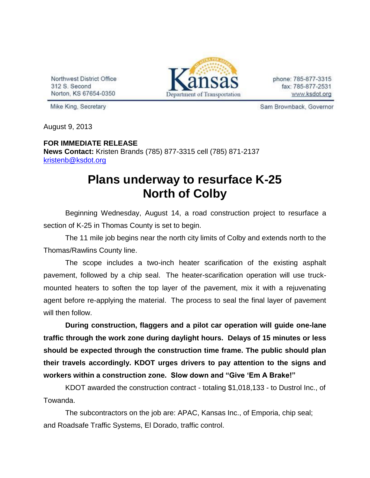Northwest District Office 312 S. Second Norton, KS 67654-0350



phone: 785-877-3315 fax: 785-877-2531 www.ksdot.org

Mike King, Secretary

Sam Brownback, Governor

August 9, 2013

## **FOR IMMEDIATE RELEASE News Contact:** Kristen Brands (785) 877-3315 cell (785) 871-2137 [kristenb@ksdot.org](mailto:kristenb@ksdot.org)

## **Plans underway to resurface K-25 North of Colby**

Beginning Wednesday, August 14, a road construction project to resurface a section of K-25 in Thomas County is set to begin.

The 11 mile job begins near the north city limits of Colby and extends north to the Thomas/Rawlins County line.

The scope includes a two-inch heater scarification of the existing asphalt pavement, followed by a chip seal. The heater-scarification operation will use truckmounted heaters to soften the top layer of the pavement, mix it with a rejuvenating agent before re-applying the material. The process to seal the final layer of pavement will then follow.

**During construction, flaggers and a pilot car operation will guide one-lane traffic through the work zone during daylight hours. Delays of 15 minutes or less should be expected through the construction time frame. The public should plan their travels accordingly. KDOT urges drivers to pay attention to the signs and workers within a construction zone. Slow down and "Give 'Em A Brake!"**

KDOT awarded the construction contract - totaling \$1,018,133 - to Dustrol Inc., of Towanda.

The subcontractors on the job are: APAC, Kansas Inc., of Emporia, chip seal; and Roadsafe Traffic Systems, El Dorado, traffic control.